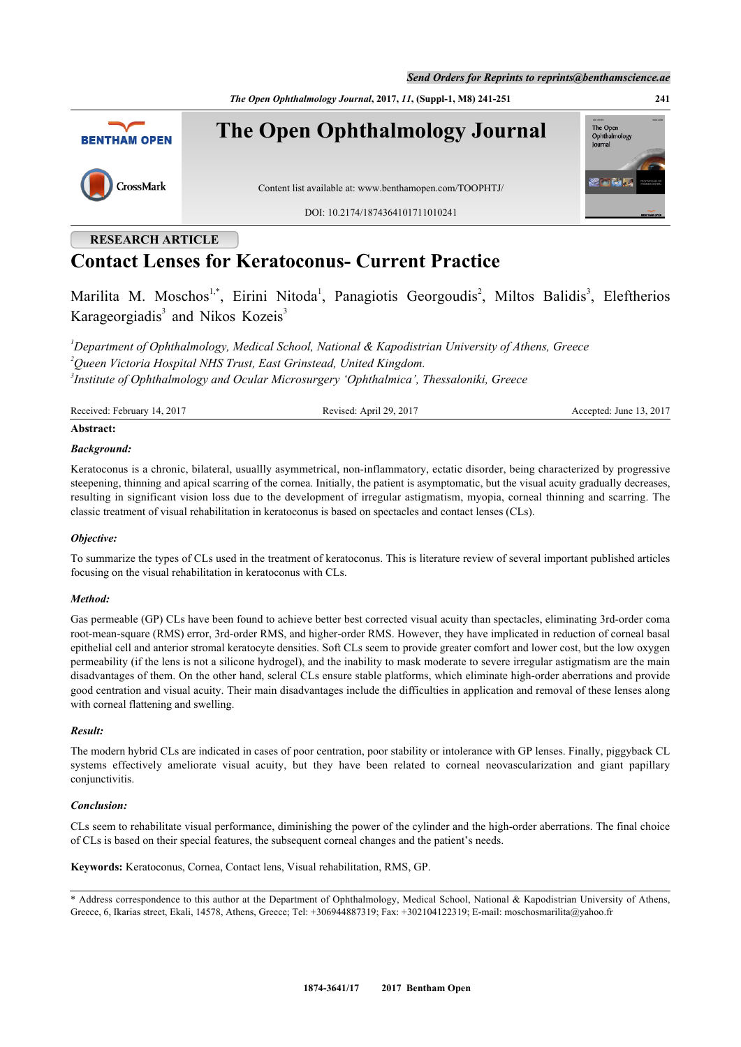*Send Orders for Reprints to reprints@benthamscience.ae*

*The Open Ophthalmology Journal***, 2017,** *11***, (Suppl-1, M8) 241-251 241**



# **RESEARCH ARTICLE**

# **Contact Lenses for Keratoconus- Current Practice**

Marilita M. Moschos<sup>[1,](#page-0-0)[\\*](#page-0-1)</sup>, Eirini Nitoda<sup>[1](#page-0-0)</sup>, Panagiotis Georgoudis<sup>[2](#page-0-2)</sup>, Miltos Balidis<sup>[3](#page-0-3)</sup>, Eleftherios Karageorgiadis<sup>[3](#page-0-3)</sup> and Nikos Kozeis<sup>3</sup>

<span id="page-0-3"></span><span id="page-0-2"></span><span id="page-0-0"></span>*<sup>1</sup>Department of Ophthalmology, Medical School, National & Kapodistrian University of Athens, Greece <sup>2</sup>Queen Victoria Hospital NHS Trust, East Grinstead, United Kingdom. 3 Institute of Ophthalmology and Ocular Microsurgery 'Ophthalmica', Thessaloniki, Greece*

| Received: February 14,<br>.2017<br>. 2017<br>ຳດ<br>April<br>Revised:<br>Accepted: June<br>$\sim$<br>.<br>. | .2017 |
|------------------------------------------------------------------------------------------------------------|-------|
|------------------------------------------------------------------------------------------------------------|-------|

# **Abstract:**

# *Background:*

Keratoconus is a chronic, bilateral, usuallly asymmetrical, non-inflammatory, ectatic disorder, being characterized by progressive steepening, thinning and apical scarring of the cornea. Initially, the patient is asymptomatic, but the visual acuity gradually decreases, resulting in significant vision loss due to the development of irregular astigmatism, myopia, corneal thinning and scarring. The classic treatment of visual rehabilitation in keratoconus is based on spectacles and contact lenses (CLs).

# *Objective:*

To summarize the types of CLs used in the treatment of keratoconus. This is literature review of several important published articles focusing on the visual rehabilitation in keratoconus with CLs.

# *Method:*

Gas permeable (GP) CLs have been found to achieve better best corrected visual acuity than spectacles, eliminating 3rd-order coma root-mean-square (RMS) error, 3rd-order RMS, and higher-order RMS. However, they have implicated in reduction of corneal basal epithelial cell and anterior stromal keratocyte densities. Soft CLs seem to provide greater comfort and lower cost, but the low oxygen permeability (if the lens is not a silicone hydrogel), and the inability to mask moderate to severe irregular astigmatism are the main disadvantages of them. On the other hand, scleral CLs ensure stable platforms, which eliminate high-order aberrations and provide good centration and visual acuity. Their main disadvantages include the difficulties in application and removal of these lenses along with corneal flattening and swelling.

# *Result:*

The modern hybrid CLs are indicated in cases of poor centration, poor stability or intolerance with GP lenses. Finally, piggyback CL systems effectively ameliorate visual acuity, but they have been related to corneal neovascularization and giant papillary conjunctivitis.

# *Conclusion:*

CLs seem to rehabilitate visual performance, diminishing the power of the cylinder and the high-order aberrations. The final choice of CLs is based on their special features, the subsequent corneal changes and the patient's needs.

**Keywords:** Keratoconus, Cornea, Contact lens, Visual rehabilitation, RMS, GP.

<span id="page-0-1"></span><sup>\*</sup> Address correspondence to this author at the Department of Ophthalmology, Medical School, Nation[al & Kapodistrian Universi](mailto:moschosmarilita@yahoo.fr)ty of Athens, Greece, 6, Ikarias street, Ekali, 14578, Athens, Greece; Tel: +306944887319; Fax: +302104122319; E-mail: moschosmarilita@yahoo.fr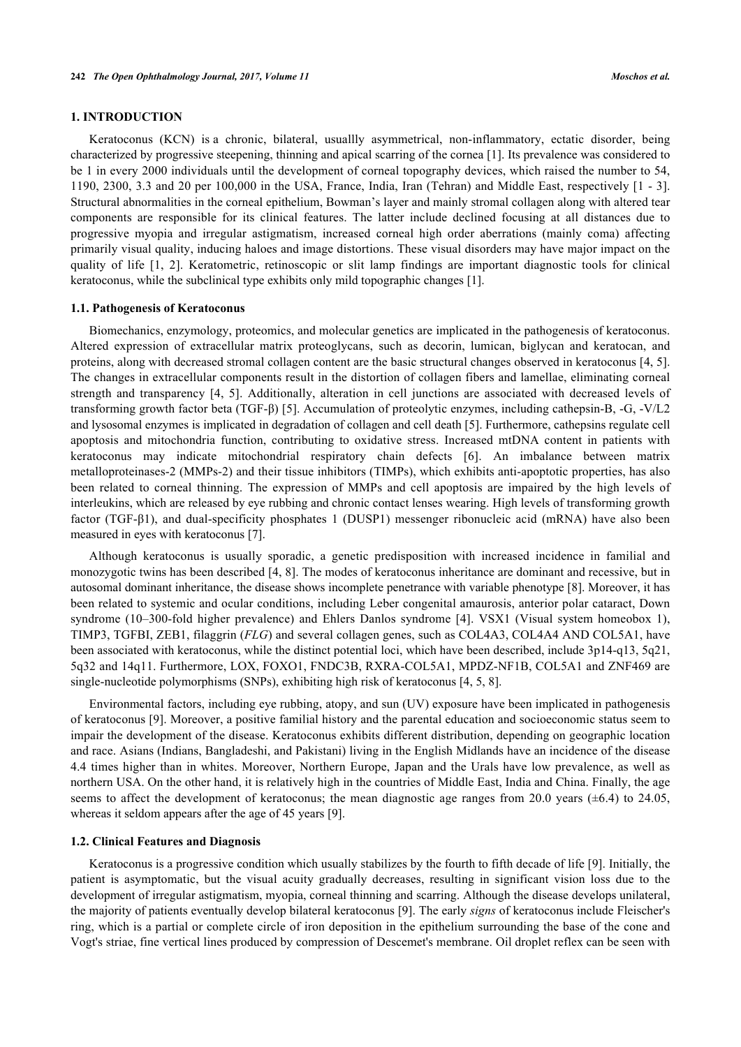# **1. INTRODUCTION**

Keratoconus (KCN) is a chronic, bilateral, usuallly asymmetrical, non-inflammatory, ectatic disorder, being characterized by progressive steepening, thinning and apical scarring of the cornea [[1\]](#page-7-0). Its prevalence was considered to be 1 in every 2000 individuals until the development of corneal topography devices, which raised the number to 54, 1190, 2300, 3.3 and 20 per 100,000 in the USA, France, India, Iran (Tehran) and Middle East, respectively [[1](#page-7-0) - [3\]](#page-7-1). Structural abnormalities in the corneal epithelium, Bowman's layer and mainly stromal collagen along with altered tear components are responsible for its clinical features. The latter include declined focusing at all distances due to progressive myopia and irregular astigmatism, increased corneal high order aberrations (mainly coma) affecting primarily visual quality, inducing haloes and image distortions. These visual disorders may have major impact on the quality of life[[1](#page-7-0), [2](#page-7-2)]. Keratometric, retinoscopic or slit lamp findings are important diagnostic tools for clinical keratoconus, while the subclinical type exhibits only mild topographic changes [[1\]](#page-7-0).

#### **1.1. Pathogenesis of Keratoconus**

Biomechanics, enzymology, proteomics, and molecular genetics are implicated in the pathogenesis of keratoconus. Altered expression of extracellular matrix proteoglycans, such as decorin, lumican, biglycan and keratocan, and proteins, along with decreased stromal collagen content are the basic structural changes observed in keratoconus [\[4,](#page-7-3) [5\]](#page-7-4). The changes in extracellular components result in the distortion of collagen fibers and lamellae, eliminating corneal strength and transparency [\[4](#page-7-3), [5](#page-7-4)]. Additionally, alteration in cell junctions are associated with decreased levels of transforming growth factor beta (TGF-β) [\[5](#page-7-4)]. Accumulation of proteolytic enzymes, including cathepsin-B, -G, -V/L2 and lysosomal enzymes is implicated in degradation of collagen and cell death [[5\]](#page-7-4). Furthermore, cathepsins regulate cell apoptosis and mitochondria function, contributing to oxidative stress. Increased mtDNA content in patients with keratoconus may indicate mitochondrial respiratory chain defects[[6](#page-7-5)]. An imbalance between matrix metalloproteinases-2 (MMPs-2) and their tissue inhibitors (TIMPs), which exhibits anti-apoptotic properties, has also been related to corneal thinning. The expression of MMPs and cell apoptosis are impaired by the high levels of interleukins, which are released by eye rubbing and chronic contact lenses wearing. High levels of transforming growth factor (TGF-β1), and dual-specificity phosphates 1 (DUSP1) messenger ribonucleic acid (mRNA) have also been measured in eyes with keratoconus [\[7](#page-7-6)].

Although keratoconus is usually sporadic, a genetic predisposition with increased incidence in familial and monozygotic twins has been described [[4](#page-7-3), [8](#page-7-7)]. The modes of keratoconus inheritance are dominant and recessive, but in autosomal dominant inheritance, the disease shows incomplete penetrance with variable phenotype [\[8](#page-7-7)]. Moreover, it has been related to systemic and ocular conditions, including Leber congenital amaurosis, anterior polar cataract, Down syndrome(10–300-fold higher prevalence) and Ehlers Danlos syndrome [[4\]](#page-7-3). VSX1 (Visual system homeobox 1), TIMP3, TGFBI, ZEB1, filaggrin (*FLG*) and several collagen genes, such as COL4A3, COL4A4 AND COL5A1, have been associated with keratoconus, while the distinct potential loci, which have been described, include 3p14-q13, 5q21, 5q32 and 14q11. Furthermore, LOX, FOXO1, FNDC3B, RXRA-COL5A1, MPDZ-NF1B, COL5A1 and ZNF469 are single-nucleotide polymorphisms (SNPs), exhibiting high risk of keratoconus [[4,](#page-7-3) [5,](#page-7-4) [8\]](#page-7-7).

Environmental factors, including eye rubbing, atopy, and sun (UV) exposure have been implicated in pathogenesis of keratoconus [\[9](#page-7-8)]. Moreover, a positive familial history and the parental education and socioeconomic status seem to impair the development of the disease. Keratoconus exhibits different distribution, depending on geographic location and race. Asians (Indians, Bangladeshi, and Pakistani) living in the English Midlands have an incidence of the disease 4.4 times higher than in whites. Moreover, Northern Europe, Japan and the Urals have low prevalence, as well as northern USA. On the other hand, it is relatively high in the countries of Middle East, India and China. Finally, the age seems to affect the development of keratoconus; the mean diagnostic age ranges from 20.0 years  $(\pm 6.4)$  to 24.05, whereas it seldom appears after the age of 45 years [[9\]](#page-7-8).

#### **1.2. Clinical Features and Diagnosis**

Keratoconus is a progressive condition which usually stabilizes by the fourth to fifth decade of life [[9\]](#page-7-8). Initially, the patient is asymptomatic, but the visual acuity gradually decreases, resulting in significant vision loss due to the development of irregular astigmatism, myopia, corneal thinning and scarring. Although the disease develops unilateral, the majority of patients eventually develop bilateral keratoconus [\[9](#page-7-8)]. The early *signs* of keratoconus include Fleischer's ring, which is a partial or complete circle of iron deposition in the epithelium surrounding the base of the cone and Vogt's striae, fine vertical lines produced by compression of Descemet's membrane. Oil droplet reflex can be seen with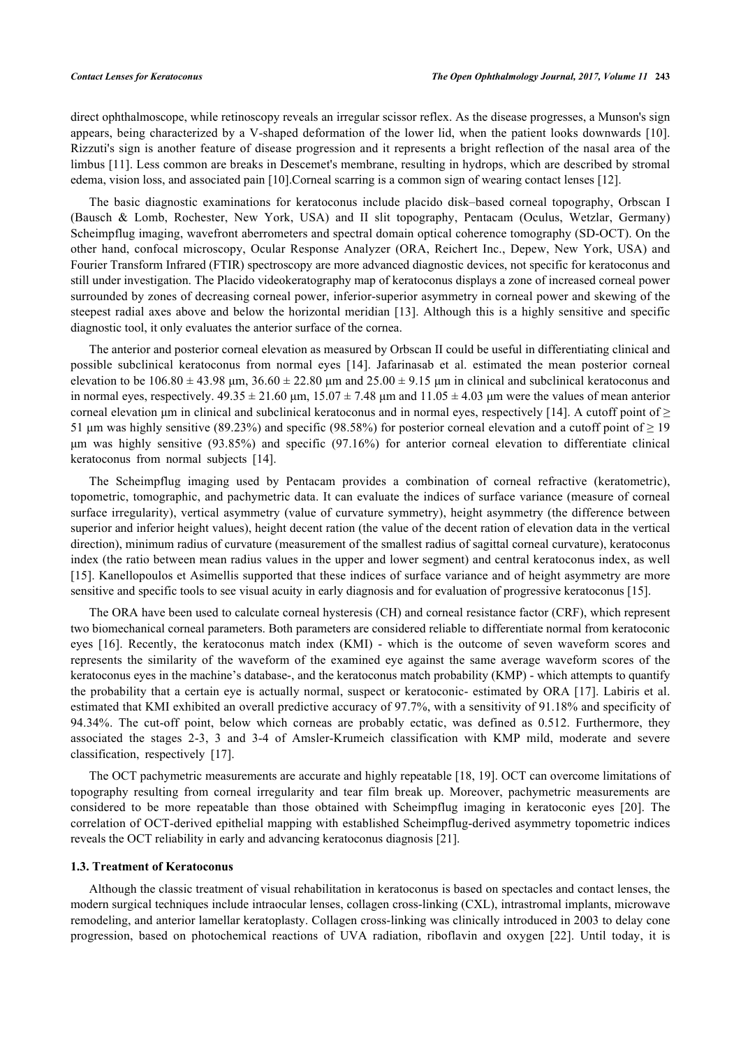direct ophthalmoscope, while retinoscopy reveals an irregular scissor reflex. As the disease progresses, a Munson's sign appears, being characterized by a V-shaped deformation of the lower lid, when the patient looks downwards [\[10\]](#page-7-9). Rizzuti's sign is another feature of disease progression and it represents a bright reflection of the nasal area of the limbus [[11\]](#page-7-10). Less common are breaks in Descemet's membrane, resulting in hydrops, which are described by stromal edema, vision loss, and associated pain [[10\]](#page-7-9).Corneal scarring is a common sign of wearing contact lenses [[12\]](#page-7-11).

The basic diagnostic examinations for keratoconus include placido disk–based corneal topography, Orbscan I (Bausch & Lomb, Rochester, New York, USA) and II slit topography, Pentacam (Oculus, Wetzlar, Germany) Scheimpflug imaging, wavefront aberrometers and spectral domain optical coherence tomography (SD-OCT). On the other hand, confocal microscopy, Ocular Response Analyzer (ORA, Reichert Inc., Depew, New York, USA) and Fourier Transform Infrared (FTIR) spectroscopy are more advanced diagnostic devices, not specific for keratoconus and still under investigation. The Placido videokeratography map of keratoconus displays a zone of increased corneal power surrounded by zones of decreasing corneal power, inferior-superior asymmetry in corneal power and skewing of the steepest radial axes above and below the horizontal meridian [[13\]](#page-7-12). Although this is a highly sensitive and specific diagnostic tool, it only evaluates the anterior surface of the cornea.

The anterior and posterior corneal elevation as measured by Orbscan II could be useful in differentiating clinical and possible subclinical keratoconus from normal eyes[[14](#page-7-13)]. Jafarinasab et al. estimated the mean posterior corneal elevation to be  $106.80 \pm 43.98$  μm,  $36.60 \pm 22.80$  μm and  $25.00 \pm 9.15$  μm in clinical and subclinical keratoconus and in normal eyes, respectively.  $49.35 \pm 21.60$  µm,  $15.07 \pm 7.48$  µm and  $11.05 \pm 4.03$  µm were the values of mean anterior corneal elevation μm in clinical and subclinical keratoconus and in normal eyes, respectively [\[14\]](#page-7-13). A cutoff point of  $\geq$ 51 μm was highly sensitive (89.23%) and specific (98.58%) for posterior corneal elevation and a cutoff point of  $\geq$  19 μm was highly sensitive (93.85%) and specific (97.16%) for anterior corneal elevation to differentiate clinical keratoconus from normal subjects [\[14](#page-7-13)].

The Scheimpflug imaging used by Pentacam provides a combination of corneal refractive (keratometric), topometric, tomographic, and pachymetric data. It can evaluate the indices of surface variance (measure of corneal surface irregularity), vertical asymmetry (value of curvature symmetry), height asymmetry (the difference between superior and inferior height values), height decent ration (the value of the decent ration of elevation data in the vertical direction), minimum radius of curvature (measurement of the smallest radius of sagittal corneal curvature), keratoconus index (the ratio between mean radius values in the upper and lower segment) and central keratoconus index, as well [\[15](#page-7-14)]. Kanellopoulos et Asimellis supported that these indices of surface variance and of height asymmetry are more sensitive and specific tools to see visual acuity in early diagnosis and for evaluation of progressive keratoconus [\[15](#page-7-14)].

The ORA have been used to calculate corneal hysteresis (CH) and corneal resistance factor (CRF), which represent two biomechanical corneal parameters. Both parameters are considered reliable to differentiate normal from keratoconic eyes[[16\]](#page-7-15). Recently, the keratoconus match index (KMI) - which is the outcome of seven waveform scores and represents the similarity of the waveform of the examined eye against the same average waveform scores of the keratoconus eyes in the machine's database-, and the keratoconus match probability (KMP) - which attempts to quantify the probability that a certain eye is actually normal, suspect or keratoconic- estimated by ORA [[17](#page-7-16)]. Labiris et al. estimated that KMI exhibited an overall predictive accuracy of 97.7%, with a sensitivity of 91.18% and specificity of 94.34%. The cut-off point, below which corneas are probably ectatic, was defined as 0.512. Furthermore, they associated the stages 2-3, 3 and 3-4 of Amsler-Krumeich classification with KMP mild, moderate and severe classification, respectively[[17\]](#page-7-16).

The OCT pachymetric measurements are accurate and highly repeatable [\[18](#page-7-17), [19](#page-8-0)]. OCT can overcome limitations of topography resulting from corneal irregularity and tear film break up. Moreover, pachymetric measurements are considered to be more repeatable than those obtained with Scheimpflug imaging in keratoconic eyes[[20](#page-8-1)]. The correlation of OCT-derived epithelial mapping with established Scheimpflug-derived asymmetry topometric indices reveals the OCT reliability in early and advancing keratoconus diagnosis [[21\]](#page-8-2).

#### **1.3. Treatment of Keratoconus**

Although the classic treatment of visual rehabilitation in keratoconus is based on spectacles and contact lenses, the modern surgical techniques include intraocular lenses, collagen cross-linking (CXL), intrastromal implants, microwave remodeling, and anterior lamellar keratoplasty. Collagen cross-linking was clinically introduced in 2003 to delay cone progression, based on photochemical reactions of UVA radiation, riboflavin and oxygen [\[22\]](#page-8-3). Until today, it is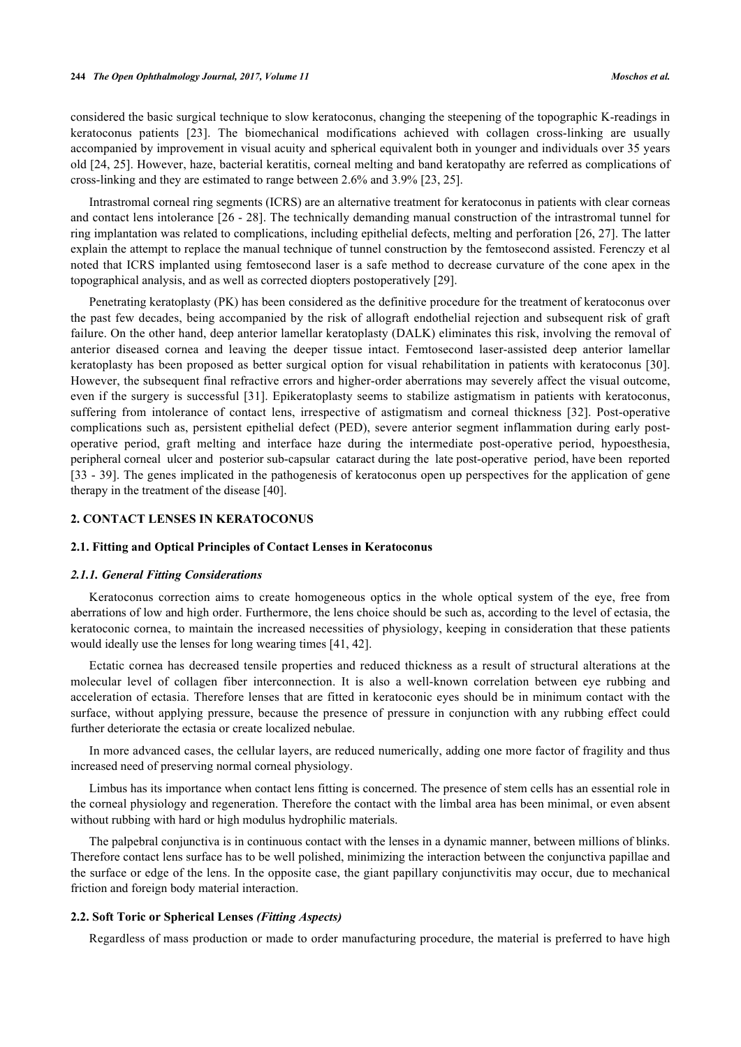considered the basic surgical technique to slow keratoconus, changing the steepening of the topographic K-readings in keratoconus patients [\[23](#page-8-4)]. The biomechanical modifications achieved with collagen cross-linking are usually accompanied by improvement in visual acuity and spherical equivalent both in younger and individuals over 35 years old [[24,](#page-8-5) [25](#page-8-6)]. However, haze, bacterial keratitis, corneal melting and band keratopathy are referred as complications of cross-linking and they are estimated to range between 2.6% and 3.9% [\[23](#page-8-4), [25](#page-8-6)].

Intrastromal corneal ring segments (ICRS) are an alternative treatment for keratoconus in patients with clear corneas and contact lens intolerance [\[26](#page-8-7) - [28](#page-8-8)]. The technically demanding manual construction of the intrastromal tunnel for ring implantation was related to complications, including epithelial defects, melting and perforation [[26,](#page-8-7) [27](#page-8-9)]. The latter explain the attempt to replace the manual technique of tunnel construction by the femtosecond assisted. Ferenczy et al noted that ICRS implanted using femtosecond laser is a safe method to decrease curvature of the cone apex in the topographical analysis, and as well as corrected diopters postoperatively [[29\]](#page-8-10).

Penetrating keratoplasty (PK) has been considered as the definitive procedure for the treatment of keratoconus over the past few decades, being accompanied by the risk of allograft endothelial rejection and subsequent risk of graft failure. On the other hand, deep anterior lamellar keratoplasty (DALK) eliminates this risk, involving the removal of anterior diseased cornea and leaving the deeper tissue intact. Femtosecond laser-assisted deep anterior lamellar keratoplasty has been proposed as better surgical option for visual rehabilitation in patients with keratoconus [\[30\]](#page-8-11). However, the subsequent final refractive errors and higher-order aberrations may severely affect the visual outcome, even if the surgery is successful [\[31\]](#page-8-12). Epikeratoplasty seems to stabilize astigmatism in patients with keratoconus, suffering from intolerance of contact lens, irrespective of astigmatism and corneal thickness[[32](#page-8-13)]. Post-operative complications such as, persistent epithelial defect (PED), severe anterior segment inflammation during early postoperative period, graft melting and interface haze during the intermediate post-operative period, hypoesthesia, peripheral corneal ulcer and posterior sub-capsular cataract during the late post-operative period, have been reported [\[33](#page-8-14) - [39](#page-8-15)]. The genes implicated in the pathogenesis of keratoconus open up perspectives for the application of gene therapy in the treatment of the disease [[40\]](#page-9-0).

## **2. CONTACT LENSES IN KERATOCONUS**

# **2.1. Fitting and Optical Principles of Contact Lenses in Keratoconus**

#### *2.1.1. General Fitting Considerations*

Keratoconus correction aims to create homogeneous optics in the whole optical system of the eye, free from aberrations of low and high order. Furthermore, the lens choice should be such as, according to the level of ectasia, the keratoconic cornea, to maintain the increased necessities of physiology, keeping in consideration that these patients would ideally use the lenses for long wearing times [\[41](#page-9-1), [42](#page-9-2)].

Ectatic cornea has decreased tensile properties and reduced thickness as a result of structural alterations at the molecular level of collagen fiber interconnection. It is also a well-known correlation between eye rubbing and acceleration of ectasia. Therefore lenses that are fitted in keratoconic eyes should be in minimum contact with the surface, without applying pressure, because the presence of pressure in conjunction with any rubbing effect could further deteriorate the ectasia or create localized nebulae.

In more advanced cases, the cellular layers, are reduced numerically, adding one more factor of fragility and thus increased need of preserving normal corneal physiology.

Limbus has its importance when contact lens fitting is concerned. The presence of stem cells has an essential role in the corneal physiology and regeneration. Therefore the contact with the limbal area has been minimal, or even absent without rubbing with hard or high modulus hydrophilic materials.

The palpebral conjunctiva is in continuous contact with the lenses in a dynamic manner, between millions of blinks. Therefore contact lens surface has to be well polished, minimizing the interaction between the conjunctiva papillae and the surface or edge of the lens. In the opposite case, the giant papillary conjunctivitis may occur, due to mechanical friction and foreign body material interaction.

# **2.2. Soft Toric or Spherical Lenses** *(Fitting Aspects)*

Regardless of mass production or made to order manufacturing procedure, the material is preferred to have high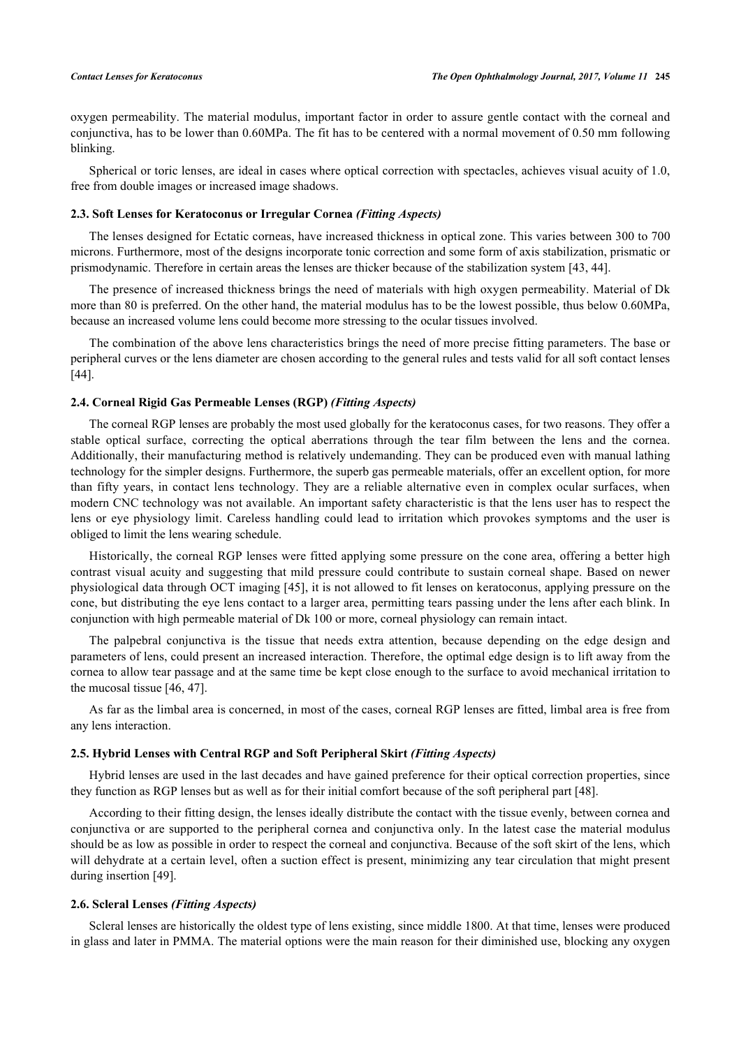oxygen permeability. The material modulus, important factor in order to assure gentle contact with the corneal and conjunctiva, has to be lower than 0.60MPa. The fit has to be centered with a normal movement of 0.50 mm following blinking.

Spherical or toric lenses, are ideal in cases where optical correction with spectacles, achieves visual acuity of 1.0, free from double images or increased image shadows.

#### **2.3. Soft Lenses for Keratoconus or Irregular Cornea** *(Fitting Aspects)*

The lenses designed for Ectatic corneas, have increased thickness in optical zone. This varies between 300 to 700 microns. Furthermore, most of the designs incorporate tonic correction and some form of axis stabilization, prismatic or prismodynamic. Therefore in certain areas the lenses are thicker because of the stabilization system [\[43](#page-9-3), [44](#page-9-4)].

The presence of increased thickness brings the need of materials with high oxygen permeability. Material of Dk more than 80 is preferred. On the other hand, the material modulus has to be the lowest possible, thus below 0.60MPa, because an increased volume lens could become more stressing to the ocular tissues involved.

The combination of the above lens characteristics brings the need of more precise fitting parameters. The base or peripheral curves or the lens diameter are chosen according to the general rules and tests valid for all soft contact lenses [\[44](#page-9-4)].

#### **2.4. Corneal Rigid Gas Permeable Lenses (RGP)** *(Fitting Aspects)*

The corneal RGP lenses are probably the most used globally for the keratoconus cases, for two reasons. They offer a stable optical surface, correcting the optical aberrations through the tear film between the lens and the cornea. Additionally, their manufacturing method is relatively undemanding. They can be produced even with manual lathing technology for the simpler designs. Furthermore, the superb gas permeable materials, offer an excellent option, for more than fifty years, in contact lens technology. They are a reliable alternative even in complex ocular surfaces, when modern CNC technology was not available. An important safety characteristic is that the lens user has to respect the lens or eye physiology limit. Careless handling could lead to irritation which provokes symptoms and the user is obliged to limit the lens wearing schedule.

Historically, the corneal RGP lenses were fitted applying some pressure on the cone area, offering a better high contrast visual acuity and suggesting that mild pressure could contribute to sustain corneal shape. Based on newer physiological data through OCT imaging [[45\]](#page-9-5), it is not allowed to fit lenses on keratoconus, applying pressure on the cone, but distributing the eye lens contact to a larger area, permitting tears passing under the lens after each blink. In conjunction with high permeable material of Dk 100 or more, corneal physiology can remain intact.

The palpebral conjunctiva is the tissue that needs extra attention, because depending on the edge design and parameters of lens, could present an increased interaction. Therefore, the optimal edge design is to lift away from the cornea to allow tear passage and at the same time be kept close enough to the surface to avoid mechanical irritation to the mucosal tissue [[46,](#page-9-6) [47\]](#page-9-7).

As far as the limbal area is concerned, in most of the cases, corneal RGP lenses are fitted, limbal area is free from any lens interaction.

# **2.5. Hybrid Lenses with Central RGP and Soft Peripheral Skirt** *(Fitting Aspects)*

Hybrid lenses are used in the last decades and have gained preference for their optical correction properties, since they function as RGP lenses but as well as for their initial comfort because of the soft peripheral part [\[48](#page-9-8)].

According to their fitting design, the lenses ideally distribute the contact with the tissue evenly, between cornea and conjunctiva or are supported to the peripheral cornea and conjunctiva only. In the latest case the material modulus should be as low as possible in order to respect the corneal and conjunctiva. Because of the soft skirt of the lens, which will dehydrate at a certain level, often a suction effect is present, minimizing any tear circulation that might present during insertion [\[49](#page-9-9)].

# **2.6. Scleral Lenses** *(Fitting Aspects)*

Scleral lenses are historically the oldest type of lens existing, since middle 1800. At that time, lenses were produced in glass and later in PMMA. The material options were the main reason for their diminished use, blocking any oxygen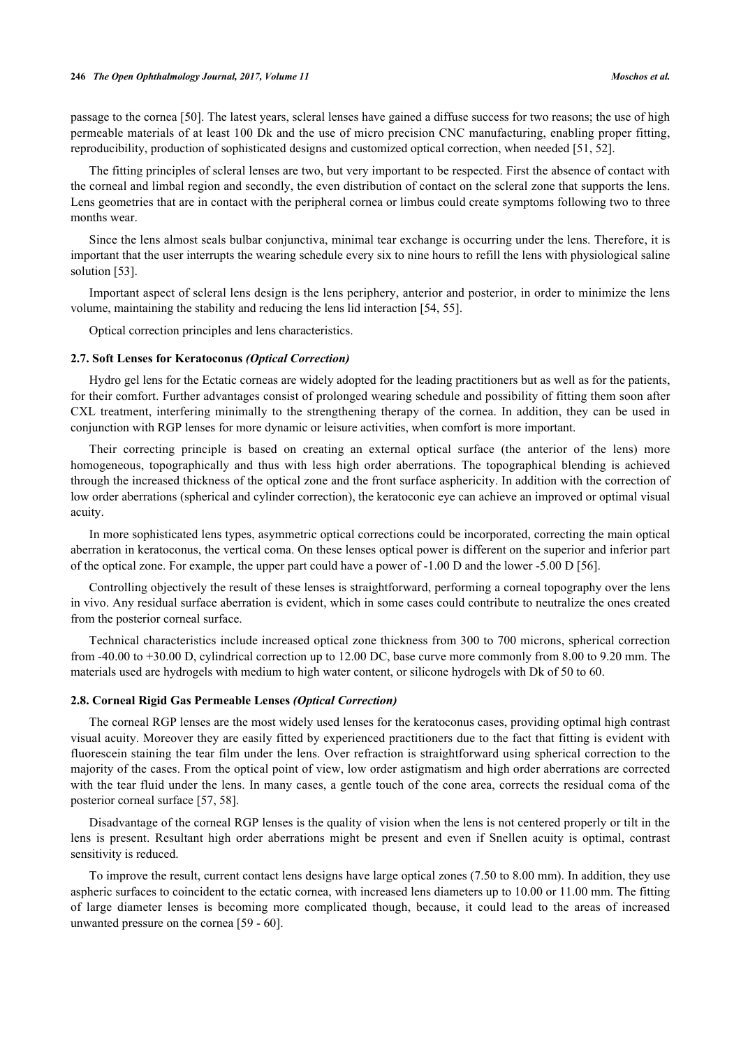passage to the cornea [\[50](#page-9-10)]. The latest years, scleral lenses have gained a diffuse success for two reasons; the use of high permeable materials of at least 100 Dk and the use of micro precision CNC manufacturing, enabling proper fitting, reproducibility, production of sophisticated designs and customized optical correction, when needed [[51,](#page-9-11) [52\]](#page-9-12).

The fitting principles of scleral lenses are two, but very important to be respected. First the absence of contact with the corneal and limbal region and secondly, the even distribution of contact on the scleral zone that supports the lens. Lens geometries that are in contact with the peripheral cornea or limbus could create symptoms following two to three months wear.

Since the lens almost seals bulbar conjunctiva, minimal tear exchange is occurring under the lens. Therefore, it is important that the user interrupts the wearing schedule every six to nine hours to refill the lens with physiological saline solution [[53\]](#page-9-13).

Important aspect of scleral lens design is the lens periphery, anterior and posterior, in order to minimize the lens volume, maintaining the stability and reducing the lens lid interaction [[54,](#page-9-14) [55\]](#page-9-15).

Optical correction principles and lens characteristics.

#### **2.7. Soft Lenses for Keratoconus** *(Optical Correction)*

Hydro gel lens for the Ectatic corneas are widely adopted for the leading practitioners but as well as for the patients, for their comfort. Further advantages consist of prolonged wearing schedule and possibility of fitting them soon after CXL treatment, interfering minimally to the strengthening therapy of the cornea. In addition, they can be used in conjunction with RGP lenses for more dynamic or leisure activities, when comfort is more important.

Their correcting principle is based on creating an external optical surface (the anterior of the lens) more homogeneous, topographically and thus with less high order aberrations. The topographical blending is achieved through the increased thickness of the optical zone and the front surface asphericity. In addition with the correction of low order aberrations (spherical and cylinder correction), the keratoconic eye can achieve an improved or optimal visual acuity.

In more sophisticated lens types, asymmetric optical corrections could be incorporated, correcting the main optical aberration in keratoconus, the vertical coma. On these lenses optical power is different on the superior and inferior part of the optical zone. For example, the upper part could have a power of -1.00 D and the lower -5.00 D [[56\]](#page-9-16).

Controlling objectively the result of these lenses is straightforward, performing a corneal topography over the lens in vivo. Any residual surface aberration is evident, which in some cases could contribute to neutralize the ones created from the posterior corneal surface.

Technical characteristics include increased optical zone thickness from 300 to 700 microns, spherical correction from -40.00 to +30.00 D, cylindrical correction up to 12.00 DC, base curve more commonly from 8.00 to 9.20 mm. The materials used are hydrogels with medium to high water content, or silicone hydrogels with Dk of 50 to 60.

#### **2.8. Corneal Rigid Gas Permeable Lenses** *(Optical Correction)*

The corneal RGP lenses are the most widely used lenses for the keratoconus cases, providing optimal high contrast visual acuity. Moreover they are easily fitted by experienced practitioners due to the fact that fitting is evident with fluorescein staining the tear film under the lens. Over refraction is straightforward using spherical correction to the majority of the cases. From the optical point of view, low order astigmatism and high order aberrations are corrected with the tear fluid under the lens. In many cases, a gentle touch of the cone area, corrects the residual coma of the posterior corneal surface [\[57](#page-9-17), [58](#page-9-18)].

Disadvantage of the corneal RGP lenses is the quality of vision when the lens is not centered properly or tilt in the lens is present. Resultant high order aberrations might be present and even if Snellen acuity is optimal, contrast sensitivity is reduced.

To improve the result, current contact lens designs have large optical zones (7.50 to 8.00 mm). In addition, they use aspheric surfaces to coincident to the ectatic cornea, with increased lens diameters up to 10.00 or 11.00 mm. The fitting of large diameter lenses is becoming more complicated though, because, it could lead to the areas of increased unwanted pressure on the cornea [[59](#page-9-19) - [60\]](#page-10-0).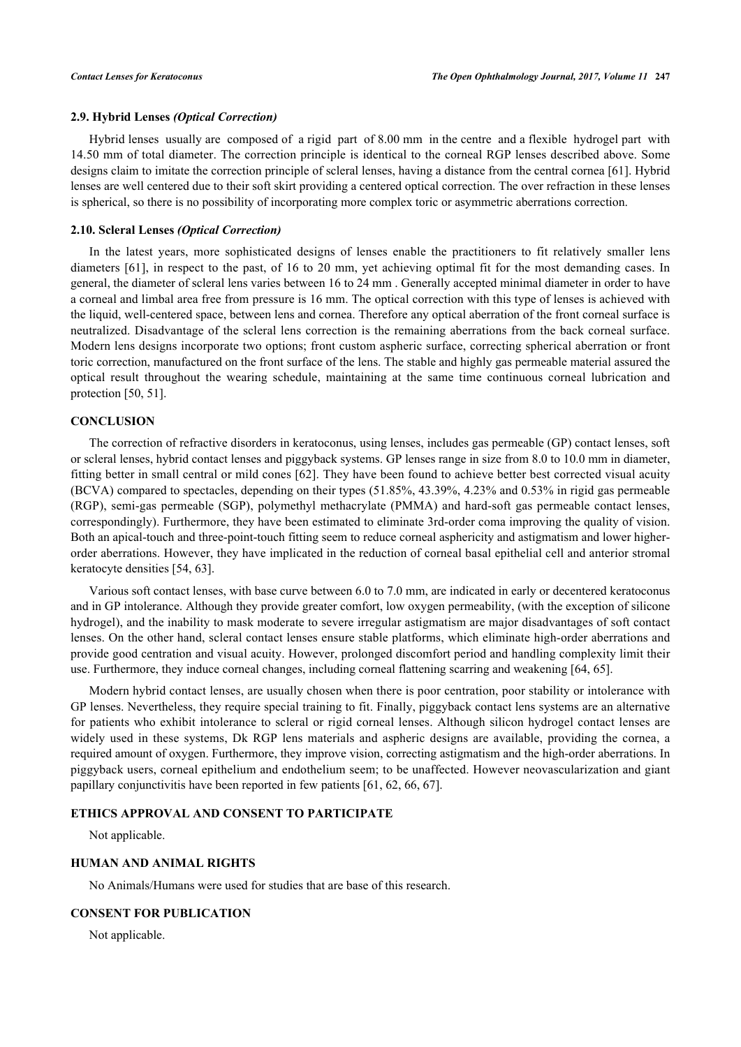#### **2.9. Hybrid Lenses** *(Optical Correction)*

Hybrid lenses usually are composed of a rigid part of 8.00 mm in the centre and a flexible hydrogel part with 14.50 mm of total diameter. The correction principle is identical to the corneal RGP lenses described above. Some designs claim to imitate the correction principle of scleral lenses, having a distance from the central cornea [[61\]](#page-10-1). Hybrid lenses are well centered due to their soft skirt providing a centered optical correction. The over refraction in these lenses is spherical, so there is no possibility of incorporating more complex toric or asymmetric aberrations correction.

#### **2.10. Scleral Lenses** *(Optical Correction)*

In the latest years, more sophisticated designs of lenses enable the practitioners to fit relatively smaller lens diameters [\[61\]](#page-10-1), in respect to the past, of 16 to 20 mm, yet achieving optimal fit for the most demanding cases. In general, the diameter of scleral lens varies between 16 to 24 mm . Generally accepted minimal diameter in order to have a corneal and limbal area free from pressure is 16 mm. The optical correction with this type of lenses is achieved with the liquid, well-centered space, between lens and cornea. Therefore any optical aberration of the front corneal surface is neutralized. Disadvantage of the scleral lens correction is the remaining aberrations from the back corneal surface. Modern lens designs incorporate two options; front custom aspheric surface, correcting spherical aberration or front toric correction, manufactured on the front surface of the lens. The stable and highly gas permeable material assured the optical result throughout the wearing schedule, maintaining at the same time continuous corneal lubrication and protection [\[50](#page-9-10), [51](#page-9-11)].

# **CONCLUSION**

The correction of refractive disorders in keratoconus, using lenses, includes gas permeable (GP) contact lenses, soft or scleral lenses, hybrid contact lenses and piggyback systems. GP lenses range in size from 8.0 to 10.0 mm in diameter, fitting better in small central or mild cones [\[62\]](#page-10-2). They have been found to achieve better best corrected visual acuity (BCVA) compared to spectacles, depending on their types (51.85%, 43.39%, 4.23% and 0.53% in rigid gas permeable (RGP), semi-gas permeable (SGP), polymethyl methacrylate (PMMA) and hard-soft gas permeable contact lenses, correspondingly). Furthermore, they have been estimated to eliminate 3rd-order coma improving the quality of vision. Both an apical-touch and three-point-touch fitting seem to reduce corneal asphericity and astigmatism and lower higherorder aberrations. However, they have implicated in the reduction of corneal basal epithelial cell and anterior stromal keratocyte densities [[54,](#page-9-14) [63\]](#page-10-3).

Various soft contact lenses, with base curve between 6.0 to 7.0 mm, are indicated in early or decentered keratoconus and in GP intolerance. Although they provide greater comfort, low oxygen permeability, (with the exception of silicone hydrogel), and the inability to mask moderate to severe irregular astigmatism are major disadvantages of soft contact lenses. On the other hand, scleral contact lenses ensure stable platforms, which eliminate high-order aberrations and provide good centration and visual acuity. However, prolonged discomfort period and handling complexity limit their use. Furthermore, they induce corneal changes, including corneal flattening scarring and weakening [[64,](#page-10-4) [65\]](#page-10-5).

Modern hybrid contact lenses, are usually chosen when there is poor centration, poor stability or intolerance with GP lenses. Nevertheless, they require special training to fit. Finally, piggyback contact lens systems are an alternative for patients who exhibit intolerance to scleral or rigid corneal lenses. Although silicon hydrogel contact lenses are widely used in these systems, Dk RGP lens materials and aspheric designs are available, providing the cornea, a required amount of oxygen. Furthermore, they improve vision, correcting astigmatism and the high-order aberrations. In piggyback users, corneal epithelium and endothelium seem; to be unaffected. However neovascularization and giant papillary conjunctivitis have been reported in few patients [[61,](#page-10-1) [62,](#page-10-2) [66,](#page-10-6) [67\]](#page-10-7).

# **ETHICS APPROVAL AND CONSENT TO PARTICIPATE**

Not applicable.

# **HUMAN AND ANIMAL RIGHTS**

No Animals/Humans were used for studies that are base of this research.

# **CONSENT FOR PUBLICATION**

Not applicable.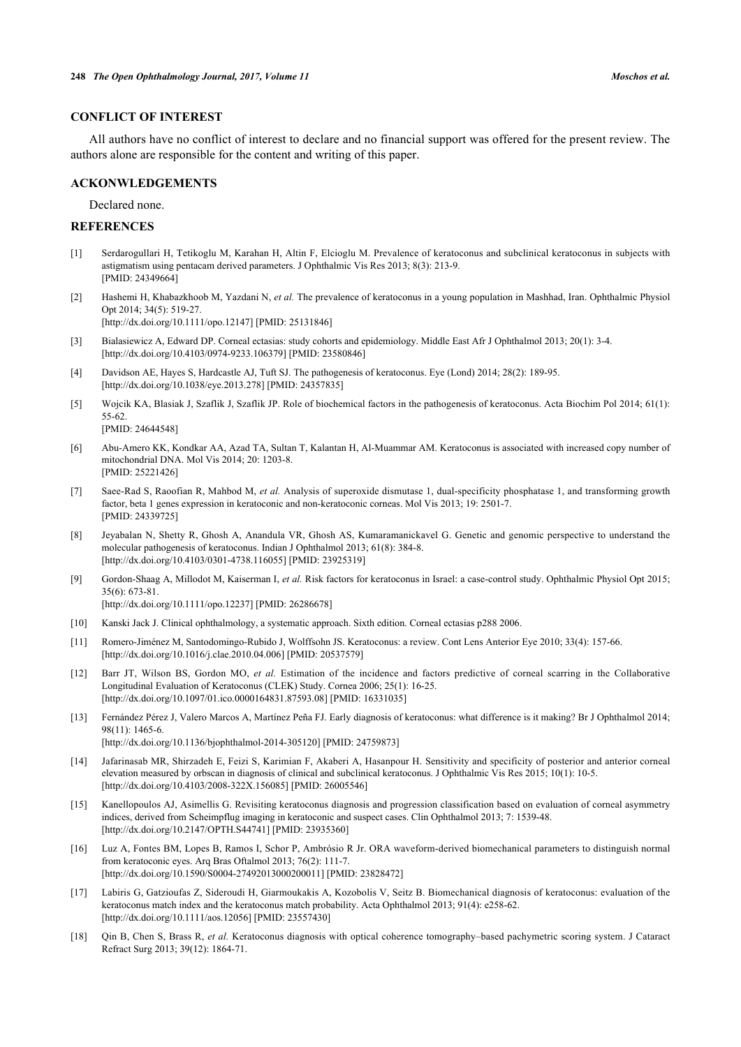# **CONFLICT OF INTEREST**

All authors have no conflict of interest to declare and no financial support was offered for the present review. The authors alone are responsible for the content and writing of this paper.

# **ACKONWLEDGEMENTS**

Declared none.

# **REFERENCES**

- <span id="page-7-0"></span>[1] Serdarogullari H, Tetikoglu M, Karahan H, Altin F, Elcioglu M. Prevalence of keratoconus and subclinical keratoconus in subjects with astigmatism using pentacam derived parameters. J Ophthalmic Vis Res 2013; 8(3): 213-9. [PMID: [24349664\]](http://www.ncbi.nlm.nih.gov/pubmed/24349664)
- <span id="page-7-2"></span>[2] Hashemi H, Khabazkhoob M, Yazdani N, *et al.* The prevalence of keratoconus in a young population in Mashhad, Iran. Ophthalmic Physiol Opt 2014; 34(5): 519-27.

[\[http://dx.doi.org/10.1111/opo.12147\]](http://dx.doi.org/10.1111/opo.12147) [PMID: [25131846](http://www.ncbi.nlm.nih.gov/pubmed/25131846)]

- <span id="page-7-1"></span>[3] Bialasiewicz A, Edward DP. Corneal ectasias: study cohorts and epidemiology. Middle East Afr J Ophthalmol 2013; 20(1): 3-4. [\[http://dx.doi.org/10.4103/0974-9233.106379](http://dx.doi.org/10.4103/0974-9233.106379)] [PMID: [23580846](http://www.ncbi.nlm.nih.gov/pubmed/23580846)]
- <span id="page-7-3"></span>[4] Davidson AE, Hayes S, Hardcastle AJ, Tuft SJ. The pathogenesis of keratoconus. Eye (Lond) 2014; 28(2): 189-95. [\[http://dx.doi.org/10.1038/eye.2013.278\]](http://dx.doi.org/10.1038/eye.2013.278) [PMID: [24357835](http://www.ncbi.nlm.nih.gov/pubmed/24357835)]
- <span id="page-7-4"></span>[5] Wojcik KA, Blasiak J, Szaflik J, Szaflik JP. Role of biochemical factors in the pathogenesis of keratoconus. Acta Biochim Pol 2014; 61(1): 55-62. [PMID: [24644548\]](http://www.ncbi.nlm.nih.gov/pubmed/24644548)
- <span id="page-7-5"></span>[6] Abu-Amero KK, Kondkar AA, Azad TA, Sultan T, Kalantan H, Al-Muammar AM. Keratoconus is associated with increased copy number of mitochondrial DNA. Mol Vis 2014; 20: 1203-8. [PMID: [25221426\]](http://www.ncbi.nlm.nih.gov/pubmed/25221426)
- <span id="page-7-6"></span>[7] Saee-Rad S, Raoofian R, Mahbod M, *et al.* Analysis of superoxide dismutase 1, dual-specificity phosphatase 1, and transforming growth factor, beta 1 genes expression in keratoconic and non-keratoconic corneas. Mol Vis 2013; 19: 2501-7. [PMID: [24339725\]](http://www.ncbi.nlm.nih.gov/pubmed/24339725)
- <span id="page-7-7"></span>[8] Jeyabalan N, Shetty R, Ghosh A, Anandula VR, Ghosh AS, Kumaramanickavel G. Genetic and genomic perspective to understand the molecular pathogenesis of keratoconus. Indian J Ophthalmol 2013; 61(8): 384-8. [\[http://dx.doi.org/10.4103/0301-4738.116055](http://dx.doi.org/10.4103/0301-4738.116055)] [PMID: [23925319](http://www.ncbi.nlm.nih.gov/pubmed/23925319)]
- <span id="page-7-8"></span>[9] Gordon-Shaag A, Millodot M, Kaiserman I, *et al.* Risk factors for keratoconus in Israel: a case-control study. Ophthalmic Physiol Opt 2015; 35(6): 673-81.

[\[http://dx.doi.org/10.1111/opo.12237\]](http://dx.doi.org/10.1111/opo.12237) [PMID: [26286678](http://www.ncbi.nlm.nih.gov/pubmed/26286678)]

- <span id="page-7-9"></span>[10] Kanski Jack J. Clinical ophthalmology, a systematic approach. Sixth edition. Corneal ectasias p288 2006.
- <span id="page-7-10"></span>[11] Romero-Jiménez M, Santodomingo-Rubido J, Wolffsohn JS. Keratoconus: a review. Cont Lens Anterior Eye 2010; 33(4): 157-66. [\[http://dx.doi.org/10.1016/j.clae.2010.04.006\]](http://dx.doi.org/10.1016/j.clae.2010.04.006) [PMID: [20537579](http://www.ncbi.nlm.nih.gov/pubmed/20537579)]
- <span id="page-7-11"></span>[12] Barr JT, Wilson BS, Gordon MO, *et al.* Estimation of the incidence and factors predictive of corneal scarring in the Collaborative Longitudinal Evaluation of Keratoconus (CLEK) Study. Cornea 2006; 25(1): 16-25. [\[http://dx.doi.org/10.1097/01.ico.0000164831.87593.08\]](http://dx.doi.org/10.1097/01.ico.0000164831.87593.08) [PMID: [16331035](http://www.ncbi.nlm.nih.gov/pubmed/16331035)]
- <span id="page-7-12"></span>[13] Fernández Pérez J, Valero Marcos A, Martínez Peña FJ. Early diagnosis of keratoconus: what difference is it making? Br J Ophthalmol 2014; 98(11): 1465-6.

[\[http://dx.doi.org/10.1136/bjophthalmol-2014-305120\]](http://dx.doi.org/10.1136/bjophthalmol-2014-305120) [PMID: [24759873](http://www.ncbi.nlm.nih.gov/pubmed/24759873)]

- <span id="page-7-13"></span>[14] Jafarinasab MR, Shirzadeh E, Feizi S, Karimian F, Akaberi A, Hasanpour H. Sensitivity and specificity of posterior and anterior corneal elevation measured by orbscan in diagnosis of clinical and subclinical keratoconus. J Ophthalmic Vis Res 2015; 10(1): 10-5. [\[http://dx.doi.org/10.4103/2008-322X.156085](http://dx.doi.org/10.4103/2008-322X.156085)] [PMID: [26005546\]](http://www.ncbi.nlm.nih.gov/pubmed/26005546)
- <span id="page-7-14"></span>[15] Kanellopoulos AJ, Asimellis G. Revisiting keratoconus diagnosis and progression classification based on evaluation of corneal asymmetry indices, derived from Scheimpflug imaging in keratoconic and suspect cases. Clin Ophthalmol 2013; 7: 1539-48. [\[http://dx.doi.org/10.2147/OPTH.S44741](http://dx.doi.org/10.2147/OPTH.S44741)] [PMID: [23935360\]](http://www.ncbi.nlm.nih.gov/pubmed/23935360)
- <span id="page-7-15"></span>[16] Luz A, Fontes BM, Lopes B, Ramos I, Schor P, Ambrósio R Jr. ORA waveform-derived biomechanical parameters to distinguish normal from keratoconic eyes. Arq Bras Oftalmol 2013; 76(2): 111-7. [\[http://dx.doi.org/10.1590/S0004-27492013000200011\]](http://dx.doi.org/10.1590/S0004-27492013000200011) [PMID: [23828472](http://www.ncbi.nlm.nih.gov/pubmed/23828472)]
- <span id="page-7-16"></span>[17] Labiris G, Gatzioufas Z, Sideroudi H, Giarmoukakis A, Kozobolis V, Seitz B. Biomechanical diagnosis of keratoconus: evaluation of the keratoconus match index and the keratoconus match probability. Acta Ophthalmol 2013; 91(4): e258-62. [\[http://dx.doi.org/10.1111/aos.12056](http://dx.doi.org/10.1111/aos.12056)] [PMID: [23557430](http://www.ncbi.nlm.nih.gov/pubmed/23557430)]
- <span id="page-7-17"></span>[18] Qin B, Chen S, Brass R, *et al.* Keratoconus diagnosis with optical coherence tomography–based pachymetric scoring system. J Cataract Refract Surg 2013; 39(12): 1864-71.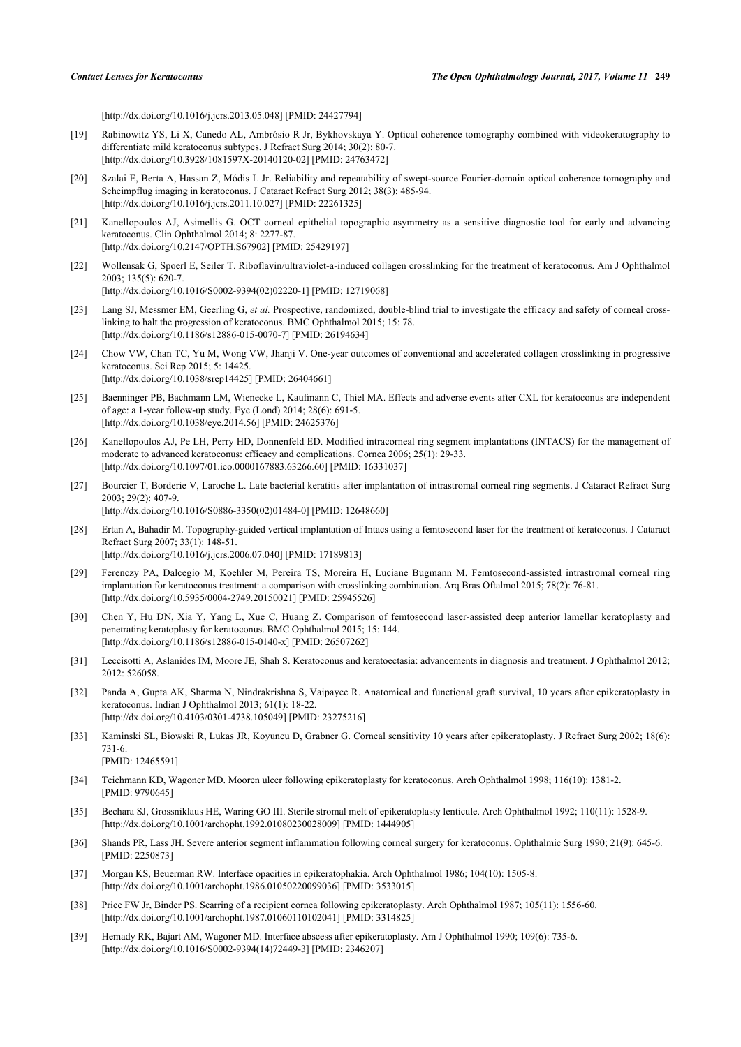[\[http://dx.doi.org/10.1016/j.jcrs.2013.05.048\]](http://dx.doi.org/10.1016/j.jcrs.2013.05.048) [PMID: [24427794](http://www.ncbi.nlm.nih.gov/pubmed/24427794)]

- <span id="page-8-0"></span>[19] Rabinowitz YS, Li X, Canedo AL, Ambrósio R Jr, Bykhovskaya Y. Optical coherence tomography combined with videokeratography to differentiate mild keratoconus subtypes. J Refract Surg 2014; 30(2): 80-7. [\[http://dx.doi.org/10.3928/1081597X-20140120-02\]](http://dx.doi.org/10.3928/1081597X-20140120-02) [PMID: [24763472](http://www.ncbi.nlm.nih.gov/pubmed/24763472)]
- <span id="page-8-1"></span>[20] Szalai E, Berta A, Hassan Z, Módis L Jr. Reliability and repeatability of swept-source Fourier-domain optical coherence tomography and Scheimpflug imaging in keratoconus. J Cataract Refract Surg 2012; 38(3): 485-94. [\[http://dx.doi.org/10.1016/j.jcrs.2011.10.027\]](http://dx.doi.org/10.1016/j.jcrs.2011.10.027) [PMID: [22261325](http://www.ncbi.nlm.nih.gov/pubmed/22261325)]
- <span id="page-8-2"></span>[21] Kanellopoulos AJ, Asimellis G. OCT corneal epithelial topographic asymmetry as a sensitive diagnostic tool for early and advancing keratoconus. Clin Ophthalmol 2014; 8: 2277-87. [\[http://dx.doi.org/10.2147/OPTH.S67902](http://dx.doi.org/10.2147/OPTH.S67902)] [PMID: [25429197\]](http://www.ncbi.nlm.nih.gov/pubmed/25429197)
- <span id="page-8-3"></span>[22] Wollensak G, Spoerl E, Seiler T. Riboflavin/ultraviolet-a-induced collagen crosslinking for the treatment of keratoconus. Am J Ophthalmol 2003; 135(5): 620-7. [\[http://dx.doi.org/10.1016/S0002-9394\(02\)02220-1\]](http://dx.doi.org/10.1016/S0002-9394(02)02220-1) [PMID: [12719068](http://www.ncbi.nlm.nih.gov/pubmed/12719068)]
- <span id="page-8-4"></span>[23] Lang SJ, Messmer EM, Geerling G, et al. Prospective, randomized, double-blind trial to investigate the efficacy and safety of corneal crosslinking to halt the progression of keratoconus. BMC Ophthalmol 2015; 15: 78. [\[http://dx.doi.org/10.1186/s12886-015-0070-7\]](http://dx.doi.org/10.1186/s12886-015-0070-7) [PMID: [26194634](http://www.ncbi.nlm.nih.gov/pubmed/26194634)]
- <span id="page-8-5"></span>[24] Chow VW, Chan TC, Yu M, Wong VW, Jhanji V. One-year outcomes of conventional and accelerated collagen crosslinking in progressive keratoconus. Sci Rep 2015; 5: 14425. [\[http://dx.doi.org/10.1038/srep14425](http://dx.doi.org/10.1038/srep14425)] [PMID: [26404661\]](http://www.ncbi.nlm.nih.gov/pubmed/26404661)
- <span id="page-8-6"></span>[25] Baenninger PB, Bachmann LM, Wienecke L, Kaufmann C, Thiel MA. Effects and adverse events after CXL for keratoconus are independent of age: a 1-year follow-up study. Eye (Lond) 2014; 28(6): 691-5. [\[http://dx.doi.org/10.1038/eye.2014.56\]](http://dx.doi.org/10.1038/eye.2014.56) [PMID: [24625376](http://www.ncbi.nlm.nih.gov/pubmed/24625376)]
- <span id="page-8-7"></span>[26] Kanellopoulos AJ, Pe LH, Perry HD, Donnenfeld ED. Modified intracorneal ring segment implantations (INTACS) for the management of moderate to advanced keratoconus: efficacy and complications. Cornea 2006; 25(1): 29-33. [\[http://dx.doi.org/10.1097/01.ico.0000167883.63266.60\]](http://dx.doi.org/10.1097/01.ico.0000167883.63266.60) [PMID: [16331037](http://www.ncbi.nlm.nih.gov/pubmed/16331037)]
- <span id="page-8-9"></span>[27] Bourcier T, Borderie V, Laroche L. Late bacterial keratitis after implantation of intrastromal corneal ring segments. J Cataract Refract Surg 2003; 29(2): 407-9. [\[http://dx.doi.org/10.1016/S0886-3350\(02\)01484-0\]](http://dx.doi.org/10.1016/S0886-3350(02)01484-0) [PMID: [12648660](http://www.ncbi.nlm.nih.gov/pubmed/12648660)]
- <span id="page-8-8"></span>[28] Ertan A, Bahadir M. Topography-guided vertical implantation of Intacs using a femtosecond laser for the treatment of keratoconus. J Cataract Refract Surg 2007; 33(1): 148-51. [\[http://dx.doi.org/10.1016/j.jcrs.2006.07.040\]](http://dx.doi.org/10.1016/j.jcrs.2006.07.040) [PMID: [17189813](http://www.ncbi.nlm.nih.gov/pubmed/17189813)]
- <span id="page-8-10"></span>[29] Ferenczy PA, Dalcegio M, Koehler M, Pereira TS, Moreira H, Luciane Bugmann M. Femtosecond-assisted intrastromal corneal ring implantation for keratoconus treatment: a comparison with crosslinking combination. Arq Bras Oftalmol 2015; 78(2): 76-81. [\[http://dx.doi.org/10.5935/0004-2749.20150021](http://dx.doi.org/10.5935/0004-2749.20150021)] [PMID: [25945526](http://www.ncbi.nlm.nih.gov/pubmed/25945526)]
- <span id="page-8-11"></span>[30] Chen Y, Hu DN, Xia Y, Yang L, Xue C, Huang Z. Comparison of femtosecond laser-assisted deep anterior lamellar keratoplasty and penetrating keratoplasty for keratoconus. BMC Ophthalmol 2015; 15: 144. [\[http://dx.doi.org/10.1186/s12886-015-0140-x\]](http://dx.doi.org/10.1186/s12886-015-0140-x) [PMID: [26507262](http://www.ncbi.nlm.nih.gov/pubmed/26507262)]
- <span id="page-8-12"></span>[31] Leccisotti A, Aslanides IM, Moore JE, Shah S. Keratoconus and keratoectasia: advancements in diagnosis and treatment. J Ophthalmol 2012; 2012: 526058.
- <span id="page-8-13"></span>[32] Panda A, Gupta AK, Sharma N, Nindrakrishna S, Vajpayee R. Anatomical and functional graft survival, 10 years after epikeratoplasty in keratoconus. Indian J Ophthalmol 2013; 61(1): 18-22. [\[http://dx.doi.org/10.4103/0301-4738.105049](http://dx.doi.org/10.4103/0301-4738.105049)] [PMID: [23275216](http://www.ncbi.nlm.nih.gov/pubmed/23275216)]
- <span id="page-8-14"></span>[33] Kaminski SL, Biowski R, Lukas JR, Koyuncu D, Grabner G. Corneal sensitivity 10 years after epikeratoplasty. J Refract Surg 2002; 18(6): 731-6. [PMID: [12465591\]](http://www.ncbi.nlm.nih.gov/pubmed/12465591)
- [34] Teichmann KD, Wagoner MD. Mooren ulcer following epikeratoplasty for keratoconus. Arch Ophthalmol 1998; 116(10): 1381-2. [PMID: [9790645\]](http://www.ncbi.nlm.nih.gov/pubmed/9790645)
- [35] Bechara SJ, Grossniklaus HE, Waring GO III. Sterile stromal melt of epikeratoplasty lenticule. Arch Ophthalmol 1992; 110(11): 1528-9. [\[http://dx.doi.org/10.1001/archopht.1992.01080230028009\]](http://dx.doi.org/10.1001/archopht.1992.01080230028009) [PMID: [1444905](http://www.ncbi.nlm.nih.gov/pubmed/1444905)]
- [36] Shands PR, Lass JH. Severe anterior segment inflammation following corneal surgery for keratoconus. Ophthalmic Surg 1990; 21(9): 645-6. [PMID: [2250873\]](http://www.ncbi.nlm.nih.gov/pubmed/2250873)
- [37] Morgan KS, Beuerman RW. Interface opacities in epikeratophakia. Arch Ophthalmol 1986; 104(10): 1505-8. [\[http://dx.doi.org/10.1001/archopht.1986.01050220099036\]](http://dx.doi.org/10.1001/archopht.1986.01050220099036) [PMID: [3533015](http://www.ncbi.nlm.nih.gov/pubmed/3533015)]
- [38] Price FW Jr, Binder PS. Scarring of a recipient cornea following epikeratoplasty. Arch Ophthalmol 1987; 105(11): 1556-60. [\[http://dx.doi.org/10.1001/archopht.1987.01060110102041\]](http://dx.doi.org/10.1001/archopht.1987.01060110102041) [PMID: [3314825](http://www.ncbi.nlm.nih.gov/pubmed/3314825)]
- <span id="page-8-15"></span>[39] Hemady RK, Bajart AM, Wagoner MD. Interface abscess after epikeratoplasty. Am J Ophthalmol 1990; 109(6): 735-6. [\[http://dx.doi.org/10.1016/S0002-9394\(14\)72449-3\]](http://dx.doi.org/10.1016/S0002-9394(14)72449-3) [PMID: [2346207](http://www.ncbi.nlm.nih.gov/pubmed/2346207)]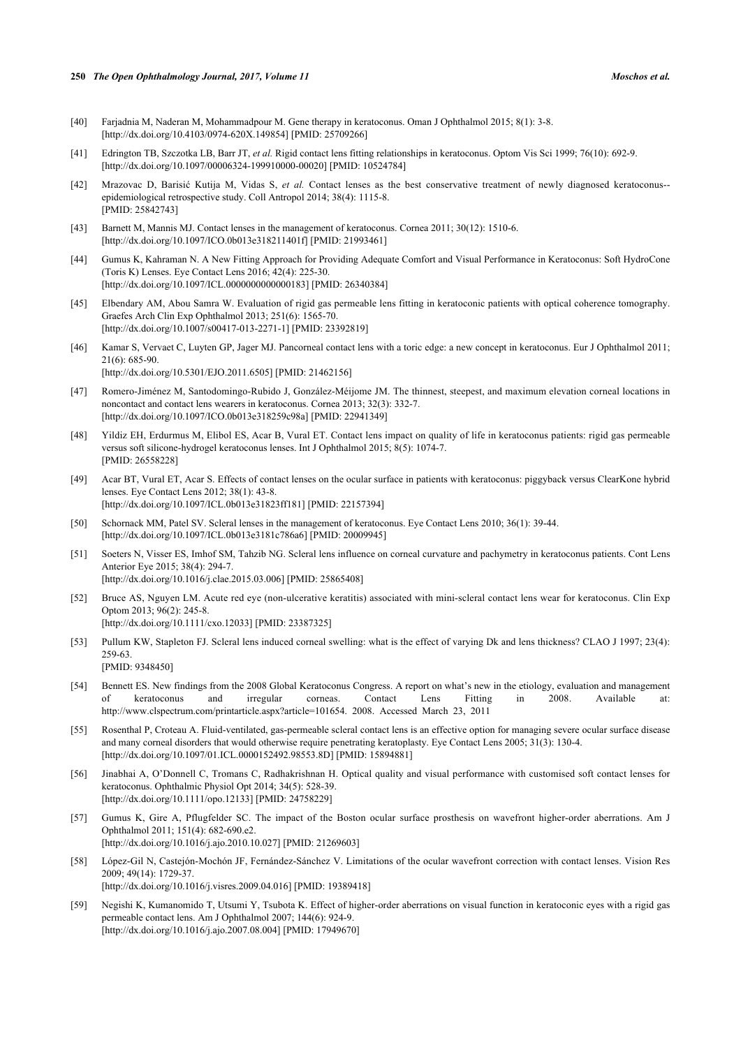- <span id="page-9-0"></span>[40] Farjadnia M, Naderan M, Mohammadpour M. Gene therapy in keratoconus. Oman J Ophthalmol 2015; 8(1): 3-8. [\[http://dx.doi.org/10.4103/0974-620X.149854](http://dx.doi.org/10.4103/0974-620X.149854)] [PMID: [25709266\]](http://www.ncbi.nlm.nih.gov/pubmed/25709266)
- <span id="page-9-1"></span>[41] Edrington TB, Szczotka LB, Barr JT, *et al.* Rigid contact lens fitting relationships in keratoconus. Optom Vis Sci 1999; 76(10): 692-9. [\[http://dx.doi.org/10.1097/00006324-199910000-00020](http://dx.doi.org/10.1097/00006324-199910000-00020)] [PMID: [10524784\]](http://www.ncbi.nlm.nih.gov/pubmed/10524784)
- <span id="page-9-2"></span>[42] Mrazovac D, Barisić Kutija M, Vidas S, *et al.* Contact lenses as the best conservative treatment of newly diagnosed keratoconus- epidemiological retrospective study. Coll Antropol 2014; 38(4): 1115-8. [PMID: [25842743\]](http://www.ncbi.nlm.nih.gov/pubmed/25842743)
- <span id="page-9-3"></span>[43] Barnett M, Mannis MJ. Contact lenses in the management of keratoconus. Cornea 2011; 30(12): 1510-6. [\[http://dx.doi.org/10.1097/ICO.0b013e318211401f\]](http://dx.doi.org/10.1097/ICO.0b013e318211401f) [PMID: [21993461](http://www.ncbi.nlm.nih.gov/pubmed/21993461)]
- <span id="page-9-4"></span>[44] Gumus K, Kahraman N. A New Fitting Approach for Providing Adequate Comfort and Visual Performance in Keratoconus: Soft HydroCone (Toris K) Lenses. Eye Contact Lens 2016; 42(4): 225-30. [\[http://dx.doi.org/10.1097/ICL.0000000000000183\]](http://dx.doi.org/10.1097/ICL.0000000000000183) [PMID: [26340384](http://www.ncbi.nlm.nih.gov/pubmed/26340384)]
- <span id="page-9-5"></span>[45] Elbendary AM, Abou Samra W. Evaluation of rigid gas permeable lens fitting in keratoconic patients with optical coherence tomography. Graefes Arch Clin Exp Ophthalmol 2013; 251(6): 1565-70. [\[http://dx.doi.org/10.1007/s00417-013-2271-1\]](http://dx.doi.org/10.1007/s00417-013-2271-1) [PMID: [23392819](http://www.ncbi.nlm.nih.gov/pubmed/23392819)]
- <span id="page-9-6"></span>[46] Kamar S, Vervaet C, Luyten GP, Jager MJ. Pancorneal contact lens with a toric edge: a new concept in keratoconus. Eur J Ophthalmol 2011; 21(6): 685-90. [\[http://dx.doi.org/10.5301/EJO.2011.6505\]](http://dx.doi.org/10.5301/EJO.2011.6505) [PMID: [21462156](http://www.ncbi.nlm.nih.gov/pubmed/21462156)]
- <span id="page-9-7"></span>[47] Romero-Jiménez M, Santodomingo-Rubido J, González-Méijome JM. The thinnest, steepest, and maximum elevation corneal locations in noncontact and contact lens wearers in keratoconus. Cornea 2013; 32(3): 332-7. [\[http://dx.doi.org/10.1097/ICO.0b013e318259c98a](http://dx.doi.org/10.1097/ICO.0b013e318259c98a)] [PMID: [22941349\]](http://www.ncbi.nlm.nih.gov/pubmed/22941349)
- <span id="page-9-8"></span>[48] Yildiz EH, Erdurmus M, Elibol ES, Acar B, Vural ET. Contact lens impact on quality of life in keratoconus patients: rigid gas permeable versus soft silicone-hydrogel keratoconus lenses. Int J Ophthalmol 2015; 8(5): 1074-7. [PMID: [26558228\]](http://www.ncbi.nlm.nih.gov/pubmed/26558228)
- <span id="page-9-9"></span>[49] Acar BT, Vural ET, Acar S. Effects of contact lenses on the ocular surface in patients with keratoconus: piggyback versus ClearKone hybrid lenses. Eye Contact Lens 2012; 38(1): 43-8. [\[http://dx.doi.org/10.1097/ICL.0b013e31823ff181\]](http://dx.doi.org/10.1097/ICL.0b013e31823ff181) [PMID: [22157394](http://www.ncbi.nlm.nih.gov/pubmed/22157394)]
- <span id="page-9-10"></span>[50] Schornack MM, Patel SV. Scleral lenses in the management of keratoconus. Eye Contact Lens 2010; 36(1): 39-44. [\[http://dx.doi.org/10.1097/ICL.0b013e3181c786a6](http://dx.doi.org/10.1097/ICL.0b013e3181c786a6)] [PMID: [20009945\]](http://www.ncbi.nlm.nih.gov/pubmed/20009945)
- <span id="page-9-11"></span>[51] Soeters N, Visser ES, Imhof SM, Tahzib NG. Scleral lens influence on corneal curvature and pachymetry in keratoconus patients. Cont Lens Anterior Eye 2015; 38(4): 294-7. [\[http://dx.doi.org/10.1016/j.clae.2015.03.006\]](http://dx.doi.org/10.1016/j.clae.2015.03.006) [PMID: [25865408](http://www.ncbi.nlm.nih.gov/pubmed/25865408)]
- <span id="page-9-12"></span>[52] Bruce AS, Nguyen LM. Acute red eye (non-ulcerative keratitis) associated with mini-scleral contact lens wear for keratoconus. Clin Exp Optom 2013; 96(2): 245-8. [\[http://dx.doi.org/10.1111/cxo.12033](http://dx.doi.org/10.1111/cxo.12033)] [PMID: [23387325\]](http://www.ncbi.nlm.nih.gov/pubmed/23387325)
- <span id="page-9-13"></span>[53] Pullum KW, Stapleton FJ. Scleral lens induced corneal swelling: what is the effect of varying Dk and lens thickness? CLAO J 1997; 23(4): 259-63. [PMID: [9348450\]](http://www.ncbi.nlm.nih.gov/pubmed/9348450)
- <span id="page-9-14"></span>[54] Bennett ES. New findings from the 2008 Global Keratoconus Congress. A report on what's new in the etiology, evaluation and management of keratoconus and irregular corneas. Contact Lens Fitting in 2008. Available at: [http://www.clspectrum.com/printarticle.aspx?article=101654.](http://www.clspectrum.com/printarticle.aspx?article=101654) 2008. Accessed March 23, 2011
- <span id="page-9-15"></span>[55] Rosenthal P, Croteau A. Fluid-ventilated, gas-permeable scleral contact lens is an effective option for managing severe ocular surface disease and many corneal disorders that would otherwise require penetrating keratoplasty. Eye Contact Lens 2005; 31(3): 130-4. [\[http://dx.doi.org/10.1097/01.ICL.0000152492.98553.8D](http://dx.doi.org/10.1097/01.ICL.0000152492.98553.8D)] [PMID: [15894881](http://www.ncbi.nlm.nih.gov/pubmed/15894881)]
- <span id="page-9-16"></span>[56] Jinabhai A, O'Donnell C, Tromans C, Radhakrishnan H. Optical quality and visual performance with customised soft contact lenses for keratoconus. Ophthalmic Physiol Opt 2014; 34(5): 528-39. [\[http://dx.doi.org/10.1111/opo.12133\]](http://dx.doi.org/10.1111/opo.12133) [PMID: [24758229](http://www.ncbi.nlm.nih.gov/pubmed/24758229)]
- <span id="page-9-17"></span>[57] Gumus K, Gire A, Pflugfelder SC. The impact of the Boston ocular surface prosthesis on wavefront higher-order aberrations. Am J Ophthalmol 2011; 151(4): 682-690.e2. [\[http://dx.doi.org/10.1016/j.ajo.2010.10.027\]](http://dx.doi.org/10.1016/j.ajo.2010.10.027) [PMID: [21269603](http://www.ncbi.nlm.nih.gov/pubmed/21269603)]
- <span id="page-9-18"></span>[58] López-Gil N, Castejón-Mochón JF, Fernández-Sánchez V. Limitations of the ocular wavefront correction with contact lenses. Vision Res 2009; 49(14): 1729-37. [\[http://dx.doi.org/10.1016/j.visres.2009.04.016\]](http://dx.doi.org/10.1016/j.visres.2009.04.016) [PMID: [19389418](http://www.ncbi.nlm.nih.gov/pubmed/19389418)]
- <span id="page-9-19"></span>[59] Negishi K, Kumanomido T, Utsumi Y, Tsubota K. Effect of higher-order aberrations on visual function in keratoconic eyes with a rigid gas permeable contact lens. Am J Ophthalmol 2007; 144(6): 924-9. [\[http://dx.doi.org/10.1016/j.ajo.2007.08.004\]](http://dx.doi.org/10.1016/j.ajo.2007.08.004) [PMID: [17949670](http://www.ncbi.nlm.nih.gov/pubmed/17949670)]